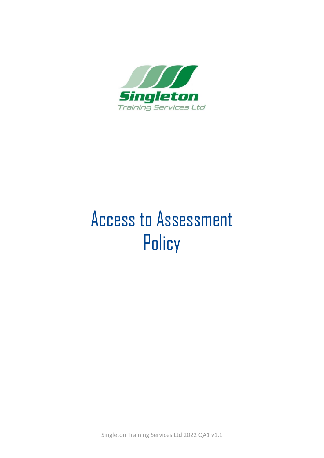

# Access to Assessment **Policy**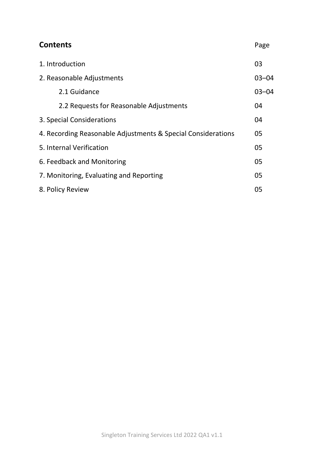| <b>Contents</b>                                              | Page      |
|--------------------------------------------------------------|-----------|
| 1. Introduction                                              | 03        |
| 2. Reasonable Adjustments                                    | $03 - 04$ |
| 2.1 Guidance                                                 | $03 - 04$ |
| 2.2 Requests for Reasonable Adjustments                      | 04        |
| 3. Special Considerations                                    | 04        |
| 4. Recording Reasonable Adjustments & Special Considerations | 05        |
| 5. Internal Verification                                     | 05        |
| 6. Feedback and Monitoring                                   | 05        |
| 7. Monitoring, Evaluating and Reporting                      | 05        |
| 8. Policy Review                                             | 05        |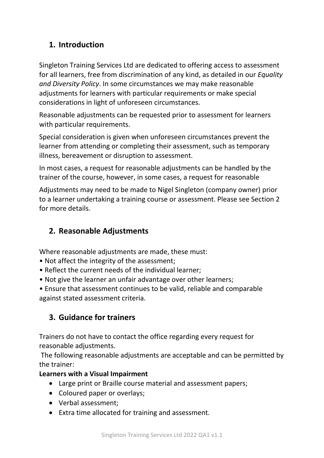# **1. Introduction**

Singleton Training Services Ltd are dedicated to offering access to assessment for all learners, free from discrimination of any kind, as detailed in our *Equality and Diversity Policy*. In some circumstances we may make reasonable adjustments for learners with particular requirements or make special considerations in light of unforeseen circumstances.

Reasonable adjustments can be requested prior to assessment for learners with particular requirements.

Special consideration is given when unforeseen circumstances prevent the learner from attending or completing their assessment, such as temporary illness, bereavement or disruption to assessment.

In most cases, a request for reasonable adjustments can be handled by the trainer of the course, however, in some cases, a request for reasonable

Adjustments may need to be made to Nigel Singleton (company owner) prior to a learner undertaking a training course or assessment. Please see Section 2 for more details.

# **2. Reasonable Adjustments**

Where reasonable adjustments are made, these must:

- Not affect the integrity of the assessment;
- Reflect the current needs of the individual learner;
- Not give the learner an unfair advantage over other learners;
- Ensure that assessment continues to be valid, reliable and comparable against stated assessment criteria.

# **3. Guidance for trainers**

Trainers do not have to contact the office regarding every request for reasonable adjustments.

The following reasonable adjustments are acceptable and can be permitted by the trainer:

#### **Learners with a Visual Impairment**

- Large print or Braille course material and assessment papers;
- Coloured paper or overlays;
- Verbal assessment;
- Extra time allocated for training and assessment.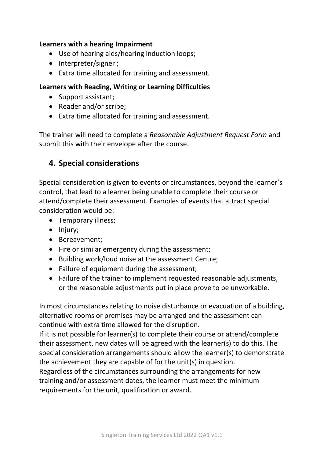#### **Learners with a hearing Impairment**

- Use of hearing aids/hearing induction loops;
- Interpreter/signer ;
- Extra time allocated for training and assessment.

#### **Learners with Reading, Writing or Learning Difficulties**

- Support assistant;
- Reader and/or scribe;
- Extra time allocated for training and assessment.

The trainer will need to complete a *Reasonable Adjustment Request Form* and submit this with their envelope after the course.

#### **4. Special considerations**

Special consideration is given to events or circumstances, beyond the learner's control, that lead to a learner being unable to complete their course or attend/complete their assessment. Examples of events that attract special consideration would be:

- Temporary illness;
- Injury;
- Bereavement;
- Fire or similar emergency during the assessment;
- Building work/loud noise at the assessment Centre;
- Failure of equipment during the assessment;
- Failure of the trainer to implement requested reasonable adjustments, or the reasonable adjustments put in place prove to be unworkable.

In most circumstances relating to noise disturbance or evacuation of a building, alternative rooms or premises may be arranged and the assessment can continue with extra time allowed for the disruption.

If it is not possible for learner(s) to complete their course or attend/complete their assessment, new dates will be agreed with the learner(s) to do this. The special consideration arrangements should allow the learner(s) to demonstrate the achievement they are capable of for the unit(s) in question.

Regardless of the circumstances surrounding the arrangements for new training and/or assessment dates, the learner must meet the minimum requirements for the unit, qualification or award.